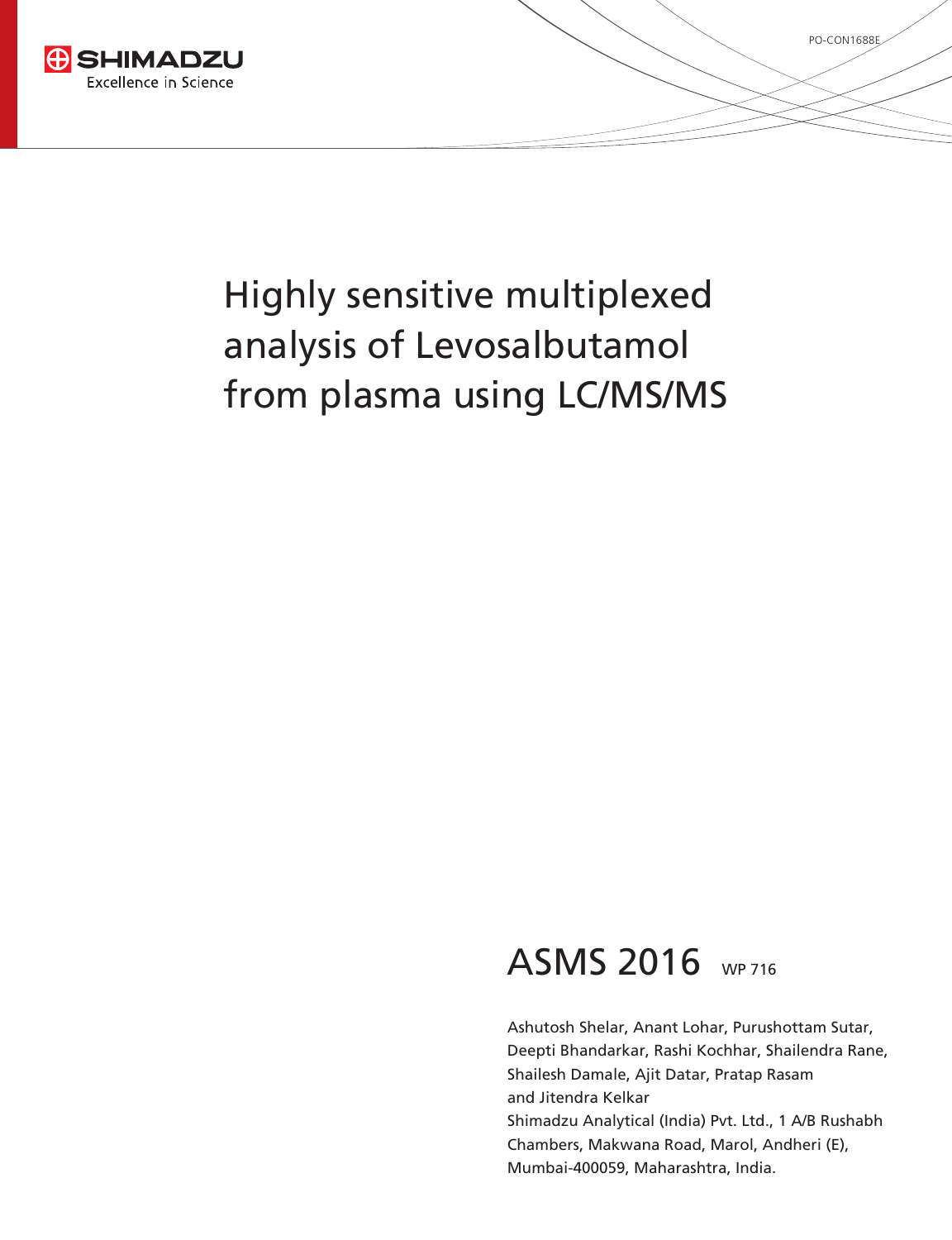

## ASMS 2016 WP 716

Ashutosh Shelar, Anant Lohar, Purushottam Sutar, Deepti Bhandarkar, Rashi Kochhar, Shailendra Rane, Shailesh Damale, Ajit Datar, Pratap Rasam and Jitendra Kelkar Shimadzu Analytical (India) Pvt. Ltd., 1 A/B Rushabh Chambers, Makwana Road, Marol, Andheri (E), Mumbai-400059, Maharashtra, India.

PO-CON1688E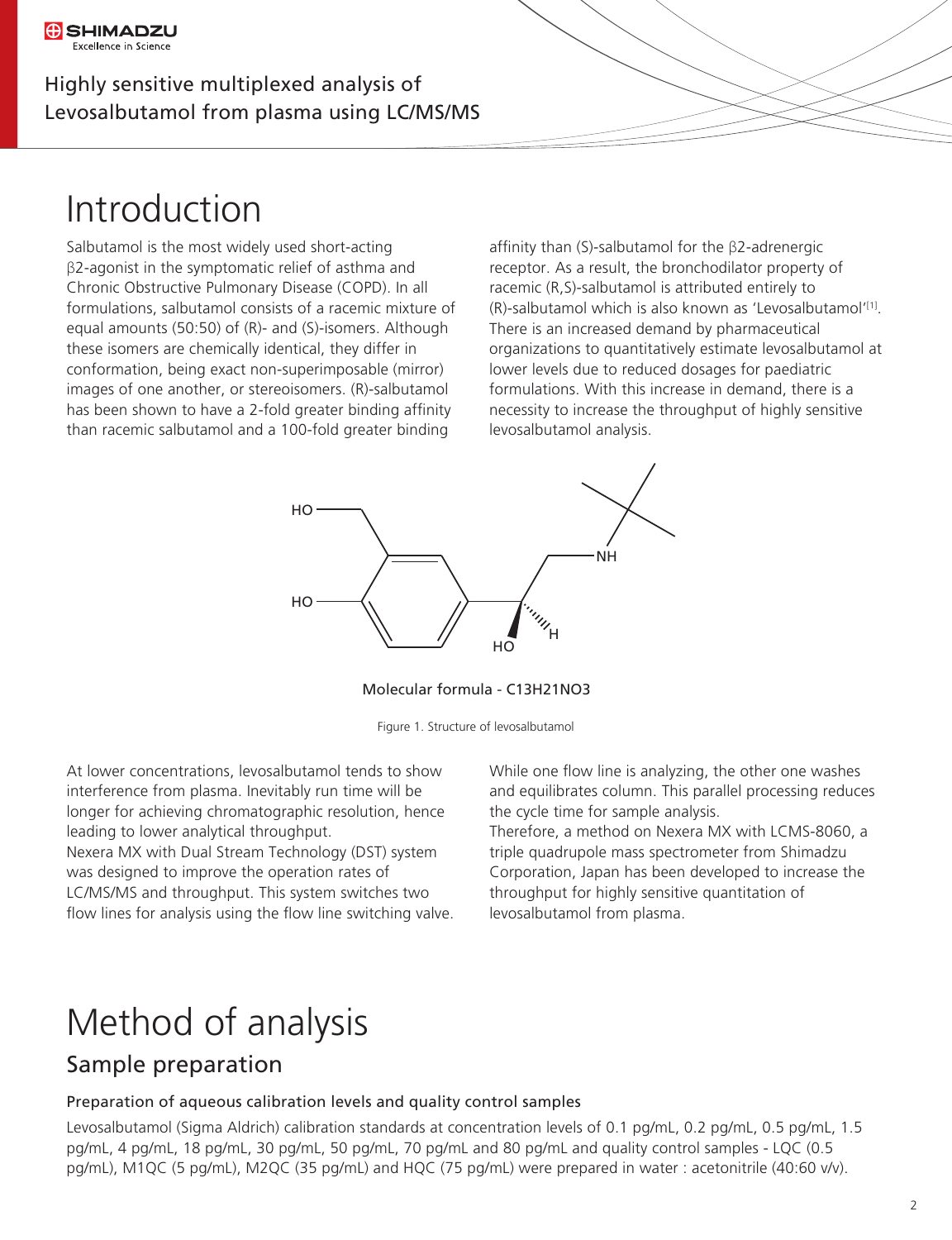## Introduction

Salbutamol is the most widely used short-acting β2-agonist in the symptomatic relief of asthma and Chronic Obstructive Pulmonary Disease (COPD). In all formulations, salbutamol consists of a racemic mixture of equal amounts (50:50) of (R)- and (S)-isomers. Although these isomers are chemically identical, they differ in conformation, being exact non-superimposable (mirror) images of one another, or stereoisomers. (R)-salbutamol has been shown to have a 2-fold greater binding affinity than racemic salbutamol and a 100-fold greater binding

affinity than (S)-salbutamol for the  $\beta$ 2-adrenergic receptor. As a result, the bronchodilator property of racemic (R,S)-salbutamol is attributed entirely to  $(R)$ -salbutamol which is also known as 'Levosalbutamol'<sup>[1]</sup>. There is an increased demand by pharmaceutical organizations to quantitatively estimate levosalbutamol at lower levels due to reduced dosages for paediatric formulations. With this increase in demand, there is a necessity to increase the throughput of highly sensitive levosalbutamol analysis.



Molecular formula - C13H21NO3

Figure 1. Structure of levosalbutamol

At lower concentrations, levosalbutamol tends to show interference from plasma. Inevitably run time will be longer for achieving chromatographic resolution, hence leading to lower analytical throughput.

Nexera MX with Dual Stream Technology (DST) system was designed to improve the operation rates of LC/MS/MS and throughput. This system switches two flow lines for analysis using the flow line switching valve. While one flow line is analyzing, the other one washes and equilibrates column. This parallel processing reduces the cycle time for sample analysis.

Therefore, a method on Nexera MX with LCMS-8060, a triple quadrupole mass spectrometer from Shimadzu Corporation, Japan has been developed to increase the throughput for highly sensitive quantitation of levosalbutamol from plasma.

## Method of analysis

### Sample preparation

#### Preparation of aqueous calibration levels and quality control samples

Levosalbutamol (Sigma Aldrich) calibration standards at concentration levels of 0.1 pg/mL, 0.2 pg/mL, 0.5 pg/mL, 1.5 pg/mL, 4 pg/mL, 18 pg/mL, 30 pg/mL, 50 pg/mL, 70 pg/mL and 80 pg/mL and quality control samples - LQC (0.5 pg/mL), M1QC (5 pg/mL), M2QC (35 pg/mL) and HQC (75 pg/mL) were prepared in water : acetonitrile (40:60 v/v).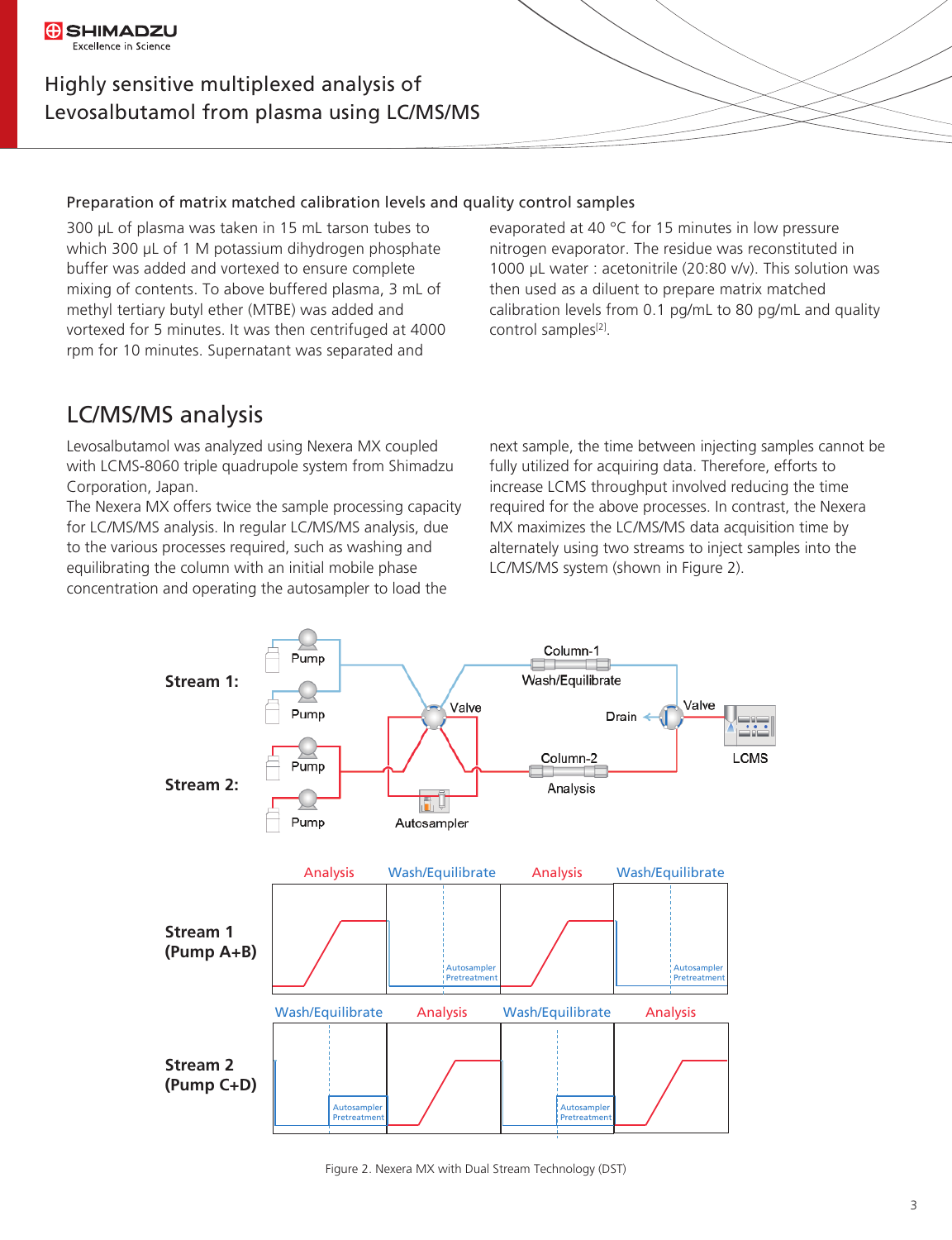#### **G**SHIMADZU Excellence in Science

#### Highly sensitive multiplexed analysis of Levosalbutamol from plasma using LC/MS/MS

#### Preparation of matrix matched calibration levels and quality control samples

300 µL of plasma was taken in 15 mL tarson tubes to which 300 µL of 1 M potassium dihydrogen phosphate buffer was added and vortexed to ensure complete mixing of contents. To above buffered plasma, 3 mL of methyl tertiary butyl ether (MTBE) was added and vortexed for 5 minutes. It was then centrifuged at 4000 rpm for 10 minutes. Supernatant was separated and

evaporated at 40 °C for 15 minutes in low pressure nitrogen evaporator. The residue was reconstituted in 1000 µL water : acetonitrile (20:80 v/v). This solution was then used as a diluent to prepare matrix matched calibration levels from 0.1 pg/mL to 80 pg/mL and quality control samples<sup>[2]</sup>.

### LC/MS/MS analysis

Levosalbutamol was analyzed using Nexera MX coupled with LCMS-8060 triple quadrupole system from Shimadzu Corporation, Japan.

The Nexera MX offers twice the sample processing capacity for LC/MS/MS analysis. In regular LC/MS/MS analysis, due to the various processes required, such as washing and equilibrating the column with an initial mobile phase concentration and operating the autosampler to load the

next sample, the time between injecting samples cannot be fully utilized for acquiring data. Therefore, efforts to increase LCMS throughput involved reducing the time required for the above processes. In contrast, the Nexera MX maximizes the LC/MS/MS data acquisition time by alternately using two streams to inject samples into the LC/MS/MS system (shown in Figure 2).



Figure 2. Nexera MX with Dual Stream Technology (DST)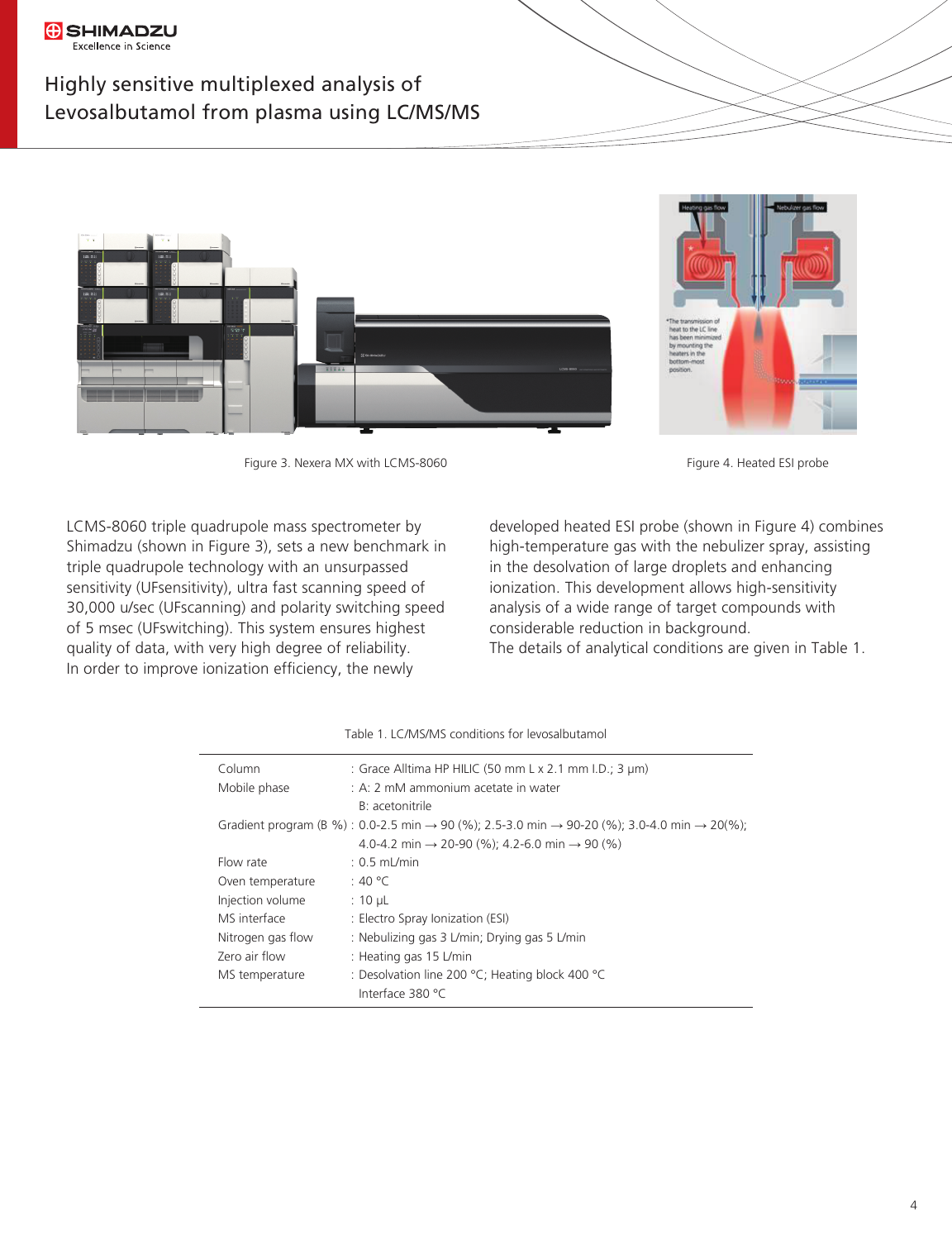#### **G** SHIMADZU Excellence in Science

#### Highly sensitive multiplexed analysis of Levosalbutamol from plasma using LC/MS/MS



Figure 3. Nexera MX with LCMS-8060 Figure 4. Heated ESI probe



LCMS-8060 triple quadrupole mass spectrometer by Shimadzu (shown in Figure 3), sets a new benchmark in triple quadrupole technology with an unsurpassed sensitivity (UFsensitivity), ultra fast scanning speed of 30,000 u/sec (UFscanning) and polarity switching speed of 5 msec (UFswitching). This system ensures highest quality of data, with very high degree of reliability. In order to improve ionization efficiency, the newly

developed heated ESI probe (shown in Figure 4) combines high-temperature gas with the nebulizer spray, assisting in the desolvation of large droplets and enhancing ionization. This development allows high-sensitivity analysis of a wide range of target compounds with considerable reduction in background.

The details of analytical conditions are given in Table 1.

| Column            | : Grace Alltima HP HILIC (50 mm L x 2.1 mm I.D.; 3 µm)                                                                           |  |  |
|-------------------|----------------------------------------------------------------------------------------------------------------------------------|--|--|
| Mobile phase      | : A: 2 mM ammonium acetate in water                                                                                              |  |  |
|                   | B: acetonitrile                                                                                                                  |  |  |
|                   | Gradient program (B %) : 0.0-2.5 min $\rightarrow$ 90 (%); 2.5-3.0 min $\rightarrow$ 90-20 (%); 3.0-4.0 min $\rightarrow$ 20(%); |  |  |
|                   | 4.0-4.2 min $\rightarrow$ 20-90 (%); 4.2-6.0 min $\rightarrow$ 90 (%)                                                            |  |  |
| Flow rate         | $: 0.5$ mL/min                                                                                                                   |  |  |
| Oven temperature  | :40 °C                                                                                                                           |  |  |
| Injection volume  | $: 10 \mu L$                                                                                                                     |  |  |
| MS interface      | : Electro Spray Ionization (ESI)                                                                                                 |  |  |
| Nitrogen gas flow | : Nebulizing gas 3 L/min; Drying gas 5 L/min                                                                                     |  |  |
| Zero air flow     | : Heating gas 15 L/min                                                                                                           |  |  |
| MS temperature    | : Desolvation line 200 $^{\circ}$ C; Heating block 400 $^{\circ}$ C                                                              |  |  |
|                   | Interface 380 °C                                                                                                                 |  |  |

Table 1. LC/MS/MS conditions for levosalbutamol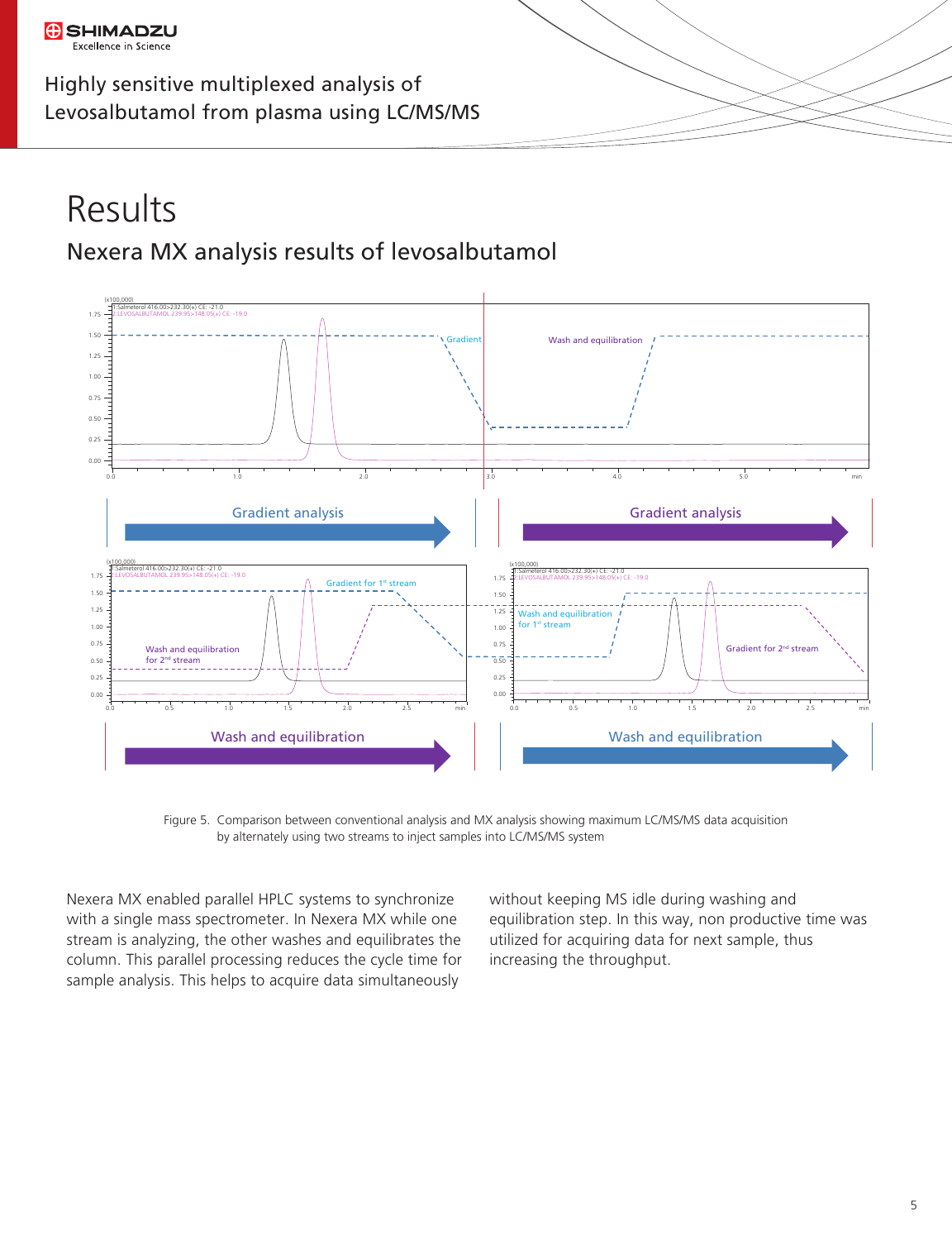### Nexera MX analysis results of levosalbutamol Results



Figure 5. Comparison between conventional analysis and MX analysis showing maximum LC/MS/MS data acquisition by alternately using two streams to inject samples into LC/MS/MS system

Nexera MX enabled parallel HPLC systems to synchronize with a single mass spectrometer. In Nexera MX while one stream is analyzing, the other washes and equilibrates the column. This parallel processing reduces the cycle time for sample analysis. This helps to acquire data simultaneously

without keeping MS idle during washing and equilibration step. In this way, non productive time was utilized for acquiring data for next sample, thus increasing the throughput.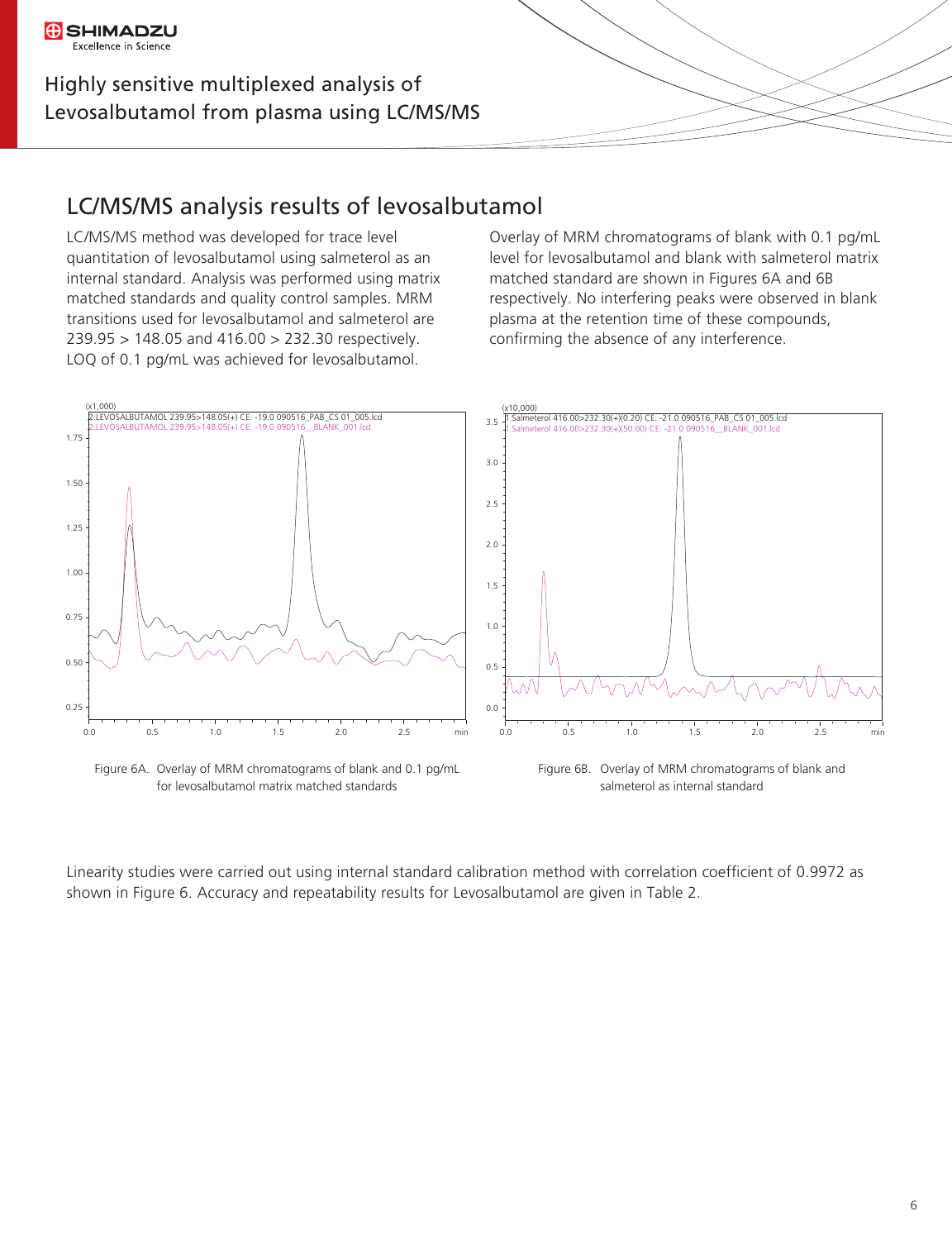**G** SHIMADZU Excellence in Science

### LC/MS/MS analysis results of levosalbutamol

LC/MS/MS method was developed for trace level quantitation of levosalbutamol using salmeterol as an internal standard. Analysis was performed using matrix matched standards and quality control samples. MRM transitions used for levosalbutamol and salmeterol are 239.95 > 148.05 and 416.00 > 232.30 respectively. LOQ of 0.1 pg/mL was achieved for levosalbutamol.

Overlay of MRM chromatograms of blank with 0.1 pg/mL level for levosalbutamol and blank with salmeterol matrix matched standard are shown in Figures 6A and 6B respectively. No interfering peaks were observed in blank plasma at the retention time of these compounds, confirming the absence of any interference.



Linearity studies were carried out using internal standard calibration method with correlation coefficient of 0.9972 as shown in Figure 6. Accuracy and repeatability results for Levosalbutamol are given in Table 2.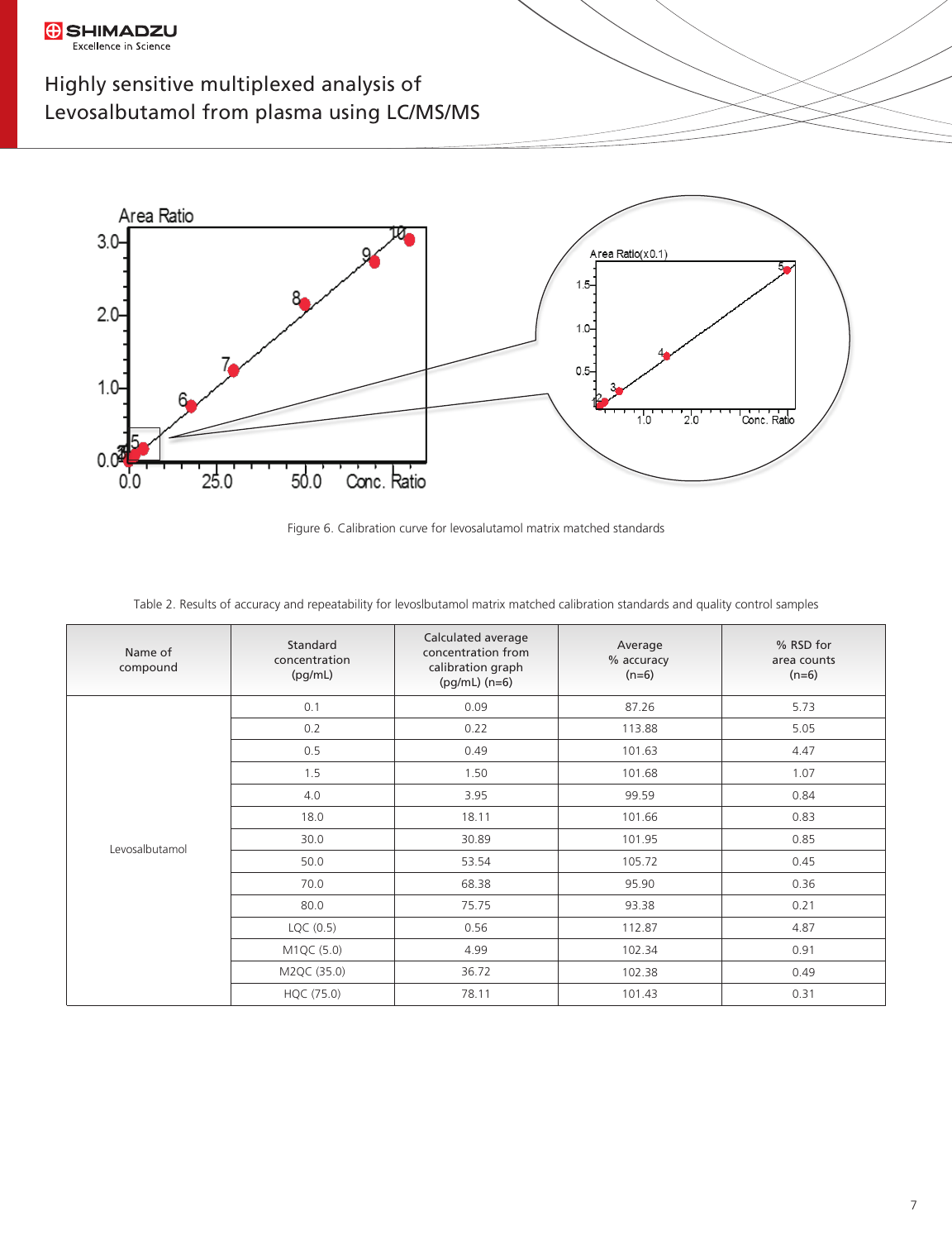**G** SHIMADZU Excellence in Science



Figure 6. Calibration curve for levosalutamol matrix matched standards

| Name of<br>compound | Standard<br>concentration<br>(pg/mL) | Calculated average<br>concentration from<br>calibration graph<br>$(pg/mL)$ (n=6) | Average<br>% accuracy<br>$(n=6)$ | % RSD for<br>area counts<br>$(n=6)$ |
|---------------------|--------------------------------------|----------------------------------------------------------------------------------|----------------------------------|-------------------------------------|
| Levosalbutamol      | 0.1                                  | 0.09                                                                             | 87.26                            | 5.73                                |
|                     | 0.2                                  | 0.22                                                                             | 113.88                           | 5.05                                |
|                     | 0.5                                  | 0.49                                                                             | 101.63                           | 4.47                                |
|                     | 1.5                                  | 1.50                                                                             | 101.68                           | 1.07                                |
|                     | 4.0                                  | 3.95                                                                             | 99.59                            | 0.84                                |
|                     | 18.0                                 | 18.11                                                                            | 101.66                           | 0.83                                |
|                     | 30.0                                 | 30.89                                                                            | 101.95                           | 0.85                                |
|                     | 50.0                                 | 53.54                                                                            | 105.72                           | 0.45                                |
|                     | 70.0                                 | 68.38                                                                            | 95.90                            | 0.36                                |
|                     | 80.0                                 | 75.75                                                                            | 93.38                            | 0.21                                |
|                     | LQC (0.5)                            | 0.56                                                                             | 112.87                           | 4.87                                |
|                     | M1QC (5.0)                           | 4.99                                                                             | 102.34                           | 0.91                                |
|                     | M2QC (35.0)                          | 36.72                                                                            | 102.38                           | 0.49                                |
|                     | HQC (75.0)                           | 78.11                                                                            | 101.43                           | 0.31                                |

Table 2. Results of accuracy and repeatability for levoslbutamol matrix matched calibration standards and quality control samples